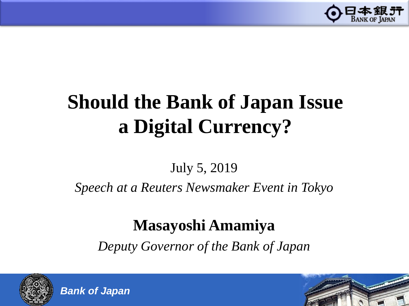

# **Should the Bank of Japan Issue a Digital Currency?**

# July 5, 2019

*Speech at a Reuters Newsmaker Event in Tokyo*

# **Masayoshi Amamiya**

*Deputy Governor of the Bank of Japan*





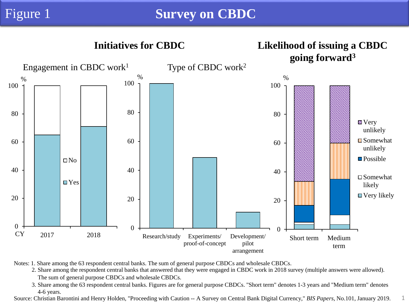

Notes: 1. Share among the 63 respondent central banks. The sum of general purpose CBDCs and wholesale CBDCs.

2. Share among the respondent central banks that answered that they were engaged in CBDC work in 2018 survey (multiple answers were allowed). The sum of general purpose CBDCs and wholesale CBDCs.

3. Share among the 63 respondent central banks. Figures are for general purpose CBDCs. "Short term" denotes 1-3 years and "Medium term" denotes 4-6 years.

Source: Christian Barontini and Henry Holden, "Proceeding with Caution -- A Survey on Central Bank Digital Currency," *BIS Papers*, No.101, January 2019. 1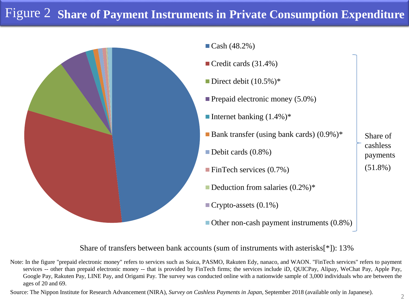# **Share of Payment Instruments in Private Consumption Expenditure** Figure 2

 $\blacksquare$  Cash (48.2%)



Credit cards (31.4%) Direct debit  $(10.5\%)^*$  $\blacksquare$  Prepaid electronic money (5.0%) Internet banking  $(1.4\%)^*$ Bank transfer (using bank cards)  $(0.9\%)^*$ Debit cards  $(0.8\%)$ FinTech services  $(0.7\%)$ Deduction from salaries  $(0.2\%)^*$ Crypto-assets  $(0.1\%)$ Share of cashless (51.8%)

■ Other non-cash payment instruments (0.8%)

payments

Share of transfers between bank accounts (sum of instruments with asterisks[\*]): 13%

Note: In the figure "prepaid electronic money" refers to services such as Suica, PASMO, Rakuten Edy, nanaco, and WAON. "FinTech services" refers to payment services -- other than prepaid electronic money -- that is provided by FinTech firms; the services include iD, QUICPay, Alipay, WeChat Pay, Apple Pay, Google Pay, Rakuten Pay, LINE Pay, and Origami Pay. The survey was conducted online with a nationwide sample of 3,000 individuals who are between the ages of 20 and 69.

Source: The Nippon Institute for Research Advancement (NIRA), *Survey on Cashless Payments in Japan*, September 2018 (available only in Japanese).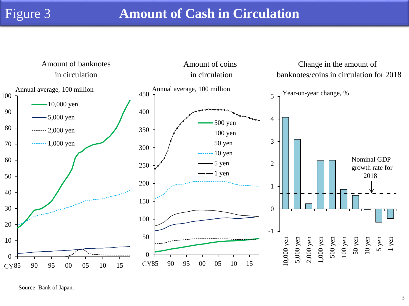### Figure 3 **Amount of Cash in Circulation**



Source: Bank of Japan.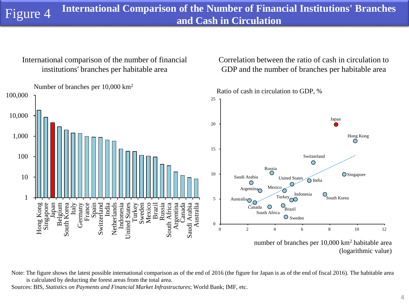International comparison of the number of financial institutions' branches per habitable area

Correlation between the ratio of cash in circulation to GDP and the number of branches per habitable area



Note: The figure shows the latest possible international comparison as of the end of 2016 (the figure for Japan is as of the end of fiscal 2016). The habitable area is calculated by deducting the forest areas from the total area.

Sources: BIS, *Statistics on Payments and Financial Market Infrastructures*; World Bank; IMF, etc.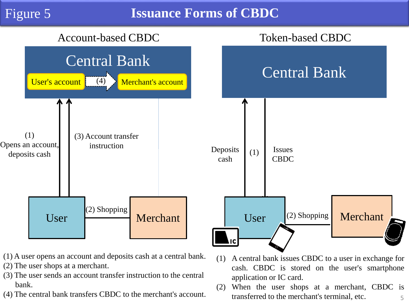#### **Issuance Forms of CBDC**



- (1) A user opens an account and deposits cash at a central bank.
- (2) The user shops at a merchant.
- (3) The user sends an account transfer instruction to the central bank.
- (4) The central bank transfers CBDC to the merchant's account.
- cash. CBDC is stored on the user's smartphone application or IC card. (2) When the user shops at a merchant, CBDC is

transferred to the merchant's terminal, etc.

(1) A central bank issues CBDC to a user in exchange for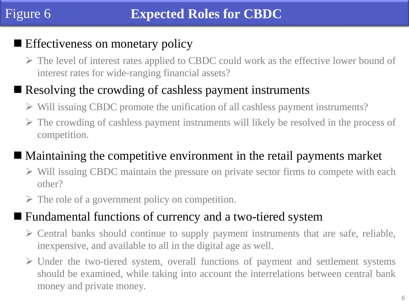# **Effectiveness on monetary policy**

 The level of interest rates applied to CBDC could work as the effective lower bound of interest rates for wide-ranging financial assets?

# Resolving the crowding of cashless payment instruments

- $\triangleright$  Will issuing CBDC promote the unification of all cashless payment instruments?
- $\triangleright$  The crowding of cashless payment instruments will likely be resolved in the process of competition.

## Maintaining the competitive environment in the retail payments market

- $\triangleright$  Will issuing CBDC maintain the pressure on private sector firms to compete with each other?
- $\triangleright$  The role of a government policy on competition.

### ■ Fundamental functions of currency and a two-tiered system

- $\triangleright$  Central banks should continue to supply payment instruments that are safe, reliable, inexpensive, and available to all in the digital age as well.
- $\triangleright$  Under the two-tiered system, overall functions of payment and settlement systems should be examined, while taking into account the interrelations between central bank money and private money.